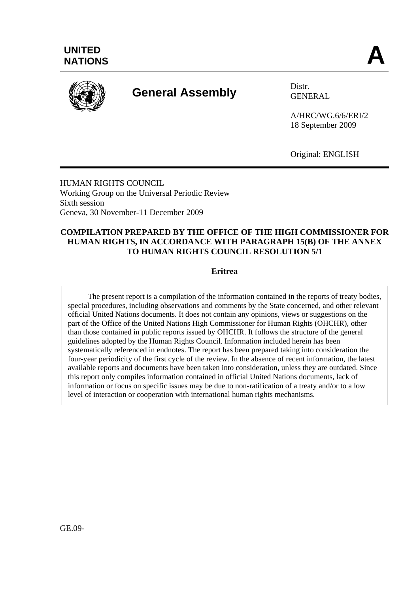

# **General Assembly** Distr.

GENERAL

A/HRC/WG.6/6/ERI/2 18 September 2009

Original: ENGLISH

HUMAN RIGHTS COUNCIL Working Group on the Universal Periodic Review Sixth session Geneva, 30 November-11 December 2009

### **COMPILATION PREPARED BY THE OFFICE OF THE HIGH COMMISSIONER FOR HUMAN RIGHTS, IN ACCORDANCE WITH PARAGRAPH 15(B) OF THE ANNEX TO HUMAN RIGHTS COUNCIL RESOLUTION 5/1**

### **Eritrea**

 The present report is a compilation of the information contained in the reports of treaty bodies, special procedures, including observations and comments by the State concerned, and other relevant official United Nations documents. It does not contain any opinions, views or suggestions on the part of the Office of the United Nations High Commissioner for Human Rights (OHCHR), other than those contained in public reports issued by OHCHR. It follows the structure of the general guidelines adopted by the Human Rights Council. Information included herein has been systematically referenced in endnotes. The report has been prepared taking into consideration the four-year periodicity of the first cycle of the review. In the absence of recent information, the latest available reports and documents have been taken into consideration, unless they are outdated. Since this report only compiles information contained in official United Nations documents, lack of information or focus on specific issues may be due to non-ratification of a treaty and/or to a low level of interaction or cooperation with international human rights mechanisms.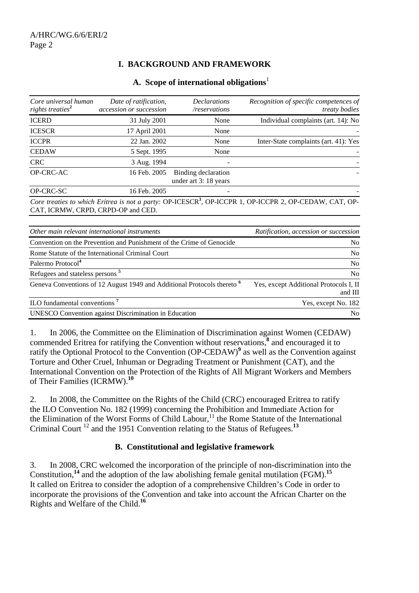# **I. BACKGROUND AND FRAMEWORK**

#### **A. Scope of international obligations**<sup>1</sup>

| Core universal human<br>rights treaties <sup>2</sup> | Date of ratification,<br>accession or succession | <b>Declarations</b><br>/reservations         | Recognition of specific competences of<br>treaty bodies                                                            |
|------------------------------------------------------|--------------------------------------------------|----------------------------------------------|--------------------------------------------------------------------------------------------------------------------|
| <b>ICERD</b>                                         | 31 July 2001                                     | None                                         | Individual complaints (art. 14): No                                                                                |
| <b>ICESCR</b>                                        | 17 April 2001                                    | None                                         |                                                                                                                    |
| <b>ICCPR</b>                                         | 22 Jan. 2002                                     | None                                         | Inter-State complaints (art. 41): Yes                                                                              |
| <b>CEDAW</b>                                         | 5 Sept. 1995                                     | None                                         |                                                                                                                    |
| <b>CRC</b>                                           | 3 Aug. 1994                                      |                                              |                                                                                                                    |
| OP-CRC-AC                                            | 16 Feb. 2005                                     | Binding declaration<br>under art 3: 18 years |                                                                                                                    |
| OP-CRC-SC                                            | 16 Feb. 2005                                     |                                              |                                                                                                                    |
|                                                      |                                                  |                                              | Core treaties to which Eritrea is not a party: OP-ICESCR <sup>3</sup> , OP-ICCPR 1, OP-ICCPR 2, OP-CEDAW, CAT, OP- |

CAT, ICRMW, CRPD, CRPD-OP and CED.

| Other main relevant international instruments                                      | Ratification, accession or succession             |
|------------------------------------------------------------------------------------|---------------------------------------------------|
| Convention on the Prevention and Punishment of the Crime of Genocide               | No.                                               |
| Rome Statute of the International Criminal Court                                   | No.                                               |
| Palermo Protocol <sup>4</sup>                                                      | No                                                |
| Refugees and stateless persons <sup>5</sup>                                        | No.                                               |
| Geneva Conventions of 12 August 1949 and Additional Protocols thereto <sup>6</sup> | Yes, except Additional Protocols I, II<br>and III |
| ILO fundamental conventions <sup>7</sup>                                           | Yes, except No. 182                               |
| <b>UNESCO</b> Convention against Discrimination in Education                       | N <sub>0</sub>                                    |

1. In 2006, the Committee on the Elimination of Discrimination against Women (CEDAW) commended Eritrea for ratifying the Convention without reservations,**<sup>8</sup>** and encouraged it to ratify the Optional Protocol to the Convention (OP-CEDAW)<sup>9</sup> as well as the Convention against Torture and Other Cruel, Inhuman or Degrading Treatment or Punishment (CAT), and the International Convention on the Protection of the Rights of All Migrant Workers and Members of Their Families (ICRMW).**<sup>10</sup>**

2. In 2008, the Committee on the Rights of the Child (CRC) encouraged Eritrea to ratify the ILO Convention No. 182 (1999) concerning the Prohibition and Immediate Action for the Elimination of the Worst Forms of Child Labour,<sup>11</sup> the Rome Statute of the International Criminal Court 12 and the 1951 Convention relating to the Status of Refugees.**<sup>13</sup>**

### **B. Constitutional and legislative framework**

3. In 2008, CRC welcomed the incorporation of the principle of non-discrimination into the Constitution,**<sup>14</sup>** and the adoption of the law abolishing female genital mutilation (FGM).**<sup>15</sup>** It called on Eritrea to consider the adoption of a comprehensive Children's Code in order to incorporate the provisions of the Convention and take into account the African Charter on the Rights and Welfare of the Child.**<sup>16</sup>**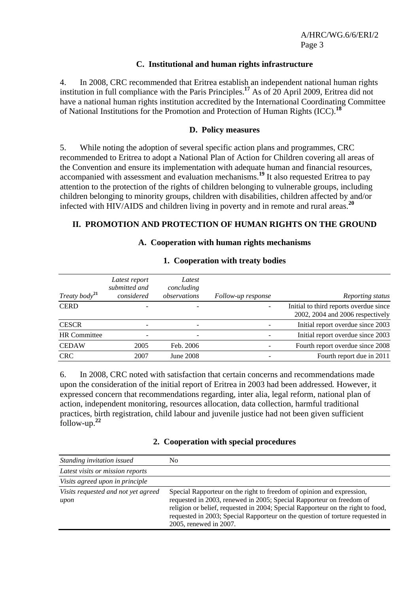#### **C. Institutional and human rights infrastructure**

4. In 2008, CRC recommended that Eritrea establish an independent national human rights institution in full compliance with the Paris Principles.**<sup>17</sup>** As of 20 April 2009, Eritrea did not have a national human rights institution accredited by the International Coordinating Committee of National Institutions for the Promotion and Protection of Human Rights (ICC).**<sup>18</sup>**

#### **D. Policy measures**

5. While noting the adoption of several specific action plans and programmes, CRC recommended to Eritrea to adopt a National Plan of Action for Children covering all areas of the Convention and ensure its implementation with adequate human and financial resources, accompanied with assessment and evaluation mechanisms.**<sup>19</sup>** It also requested Eritrea to pay attention to the protection of the rights of children belonging to vulnerable groups, including children belonging to minority groups, children with disabilities, children affected by and/or infected with HIV/AIDS and children living in poverty and in remote and rural areas.**<sup>20</sup>**

#### **II. PROMOTION AND PROTECTION OF HUMAN RIGHTS ON THE GROUND**

#### **A. Cooperation with human rights mechanisms**

| Treaty body <sup>21</sup> | Latest report<br>submitted and<br>considered | Latest<br>concluding<br>observations | Follow-up response | Reporting status                                                           |
|---------------------------|----------------------------------------------|--------------------------------------|--------------------|----------------------------------------------------------------------------|
| <b>CERD</b>               |                                              |                                      |                    | Initial to third reports overdue since<br>2002, 2004 and 2006 respectively |
| <b>CESCR</b>              |                                              | -                                    |                    | Initial report overdue since 2003                                          |
| <b>HR</b> Committee       |                                              | $\overline{\phantom{0}}$             |                    | Initial report overdue since 2003                                          |
| <b>CEDAW</b>              | 2005                                         | Feb. 2006                            |                    | Fourth report overdue since 2008                                           |
| <b>CRC</b>                | 2007                                         | June 2008                            |                    | Fourth report due in 2011                                                  |

#### **1. Cooperation with treaty bodies**

6. In 2008, CRC noted with satisfaction that certain concerns and recommendations made upon the consideration of the initial report of Eritrea in 2003 had been addressed*.* However, it expressed concern that recommendations regarding, inter alia, legal reform, national plan of action, independent monitoring, resources allocation, data collection, harmful traditional practices, birth registration, child labour and juvenile justice had not been given sufficient follow-up.**<sup>22</sup>**

#### **2. Cooperation with special procedures**

| Standing invitation issued                  | No                                                                                                                                                                                                                                                                                                                                          |
|---------------------------------------------|---------------------------------------------------------------------------------------------------------------------------------------------------------------------------------------------------------------------------------------------------------------------------------------------------------------------------------------------|
| Latest visits or mission reports            |                                                                                                                                                                                                                                                                                                                                             |
| Visits agreed upon in principle             |                                                                                                                                                                                                                                                                                                                                             |
| Visits requested and not yet agreed<br>upon | Special Rapporteur on the right to freedom of opinion and expression,<br>requested in 2003, renewed in 2005; Special Rapporteur on freedom of<br>religion or belief, requested in 2004; Special Rapporteur on the right to food,<br>requested in 2003; Special Rapporteur on the question of torture requested in<br>2005, renewed in 2007. |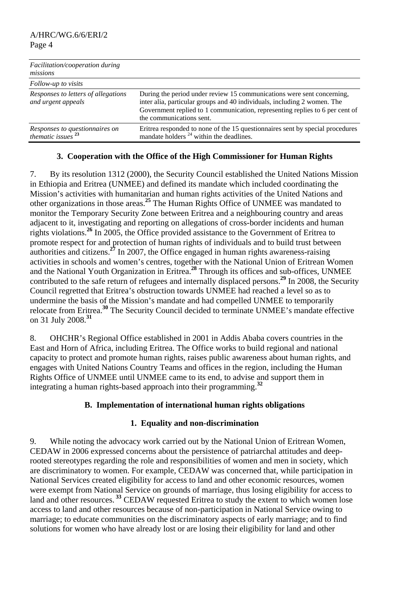| Facilitation/cooperation during<br>missions               |                                                                                                                                                                                                                                                                |
|-----------------------------------------------------------|----------------------------------------------------------------------------------------------------------------------------------------------------------------------------------------------------------------------------------------------------------------|
| Follow-up to visits                                       |                                                                                                                                                                                                                                                                |
| Responses to letters of allegations<br>and urgent appeals | During the period under review 15 communications were sent concerning,<br>inter alia, particular groups and 40 individuals, including 2 women. The<br>Government replied to 1 communication, representing replies to 6 per cent of<br>the communications sent. |
| Responses to questionnaires on<br>thematic issues $^{23}$ | Eritrea responded to none of the 15 questionnaires sent by special procedures<br>mandate holders $^{24}$ within the deadlines.                                                                                                                                 |

### **3. Cooperation with the Office of the High Commissioner for Human Rights**

7. By its resolution 1312 (2000), the Security Council established the United Nations Mission in Ethiopia and Eritrea (UNMEE) and defined its mandate which included coordinating the Mission's activities with humanitarian and human rights activities of the United Nations and other organizations in those areas.**<sup>25</sup>** The Human Rights Office of UNMEE was mandated to monitor the Temporary Security Zone between Eritrea and a neighbouring country and areas adjacent to it, investigating and reporting on allegations of cross-border incidents and human rights violations.**<sup>26</sup>** In 2005, the Office provided assistance to the Government of Eritrea to promote respect for and protection of human rights of individuals and to build trust between authorities and citizens.**<sup>27</sup>** In 2007, the Office engaged in human rights awareness-raising activities in schools and women's centres, together with the National Union of Eritrean Women and the National Youth Organization in Eritrea.**<sup>28</sup>** Through its offices and sub-offices, UNMEE contributed to the safe return of refugees and internally displaced persons.**<sup>29</sup>** In 2008, the Security Council regretted that Eritrea's obstruction towards UNMEE had reached a level so as to undermine the basis of the Mission's mandate and had compelled UNMEE to temporarily relocate from Eritrea.**<sup>30</sup>** The Security Council decided to terminate UNMEE's mandate effective on 31 July 2008.**<sup>31</sup>**

8. OHCHR's Regional Office established in 2001 in Addis Ababa covers countries in the East and Horn of Africa, including Eritrea. The Office works to build regional and national capacity to protect and promote human rights, raises public awareness about human rights, and engages with United Nations Country Teams and offices in the region, including the Human Rights Office of UNMEE until UNMEE came to its end, to advise and support them in integrating a human rights-based approach into their programming.**<sup>32</sup>**

### **B. Implementation of international human rights obligations**

# **1. Equality and non-discrimination**

9. While noting the advocacy work carried out by the National Union of Eritrean Women, CEDAW in 2006 expressed concerns about the persistence of patriarchal attitudes and deeprooted stereotypes regarding the role and responsibilities of women and men in society, which are discriminatory to women. For example, CEDAW was concerned that, while participation in National Services created eligibility for access to land and other economic resources, women were exempt from National Service on grounds of marriage, thus losing eligibility for access to land and other resources.<sup>33</sup> CEDAW requested Eritrea to study the extent to which women lose access to land and other resources because of non-participation in National Service owing to marriage; to educate communities on the discriminatory aspects of early marriage; and to find solutions for women who have already lost or are losing their eligibility for land and other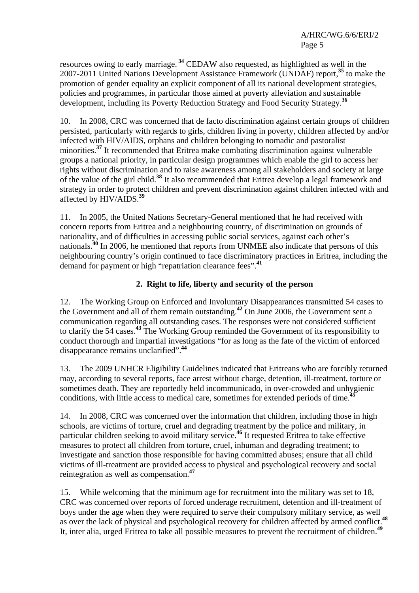resources owing to early marriage. **<sup>34</sup>** CEDAW also requested, as highlighted as well in the 2007-2011 United Nations Development Assistance Framework (UNDAF) report,**<sup>35</sup>** to make the promotion of gender equality an explicit component of all its national development strategies, policies and programmes, in particular those aimed at poverty alleviation and sustainable development, including its Poverty Reduction Strategy and Food Security Strategy.**<sup>36</sup>**

10. In 2008, CRC was concerned that de facto discrimination against certain groups of children persisted, particularly with regards to girls, children living in poverty, children affected by and/or infected with HIV/AIDS, orphans and children belonging to nomadic and pastoralist minorities.<sup>37</sup> It recommended that Eritrea make combating discrimination against vulnerable groups a national priority, in particular design programmes which enable the girl to access her rights without discrimination and to raise awareness among all stakeholders and society at large of the value of the girl child.**<sup>38</sup>** It also recommended that Eritrea develop a legal framework and strategy in order to protect children and prevent discrimination against children infected with and affected by HIV/AIDS.**<sup>39</sup>**

11. In 2005, the United Nations Secretary-General mentioned that he had received with concern reports from Eritrea and a neighbouring country, of discrimination on grounds of nationality, and of difficulties in accessing public social services, against each other's nationals.**<sup>40</sup>** In 2006, he mentioned that reports from UNMEE also indicate that persons of this neighbouring country's origin continued to face discriminatory practices in Eritrea, including the demand for payment or high "repatriation clearance fees".**<sup>41</sup>**

# **2. Right to life, liberty and security of the person**

12. The Working Group on Enforced and Involuntary Disappearances transmitted 54 cases to the Government and all of them remain outstanding.**<sup>42</sup>** On June 2006, the Government sent a communication regarding all outstanding cases. The responses were not considered sufficient to clarify the 54 cases.**<sup>43</sup>** The Working Group reminded the Government of its responsibility to conduct thorough and impartial investigations "for as long as the fate of the victim of enforced disappearance remains unclarified".**<sup>44</sup>**

13. The 2009 UNHCR Eligibility Guidelines indicated that Eritreans who are forcibly returned may, according to several reports, face arrest without charge, detention, ill-treatment, torture or sometimes death. They are reportedly held incommunicado, in over-crowded and unhygienic conditions, with little access to medical care, sometimes for extended periods of time.**<sup>45</sup>**

14. In 2008, CRC was concerned over the information that children, including those in high schools, are victims of torture, cruel and degrading treatment by the police and military, in particular children seeking to avoid military service.**<sup>46</sup>** It requested Eritrea to take effective measures to protect all children from torture, cruel, inhuman and degrading treatment; to investigate and sanction those responsible for having committed abuses; ensure that all child victims of ill-treatment are provided access to physical and psychological recovery and social reintegration as well as compensation.**<sup>47</sup>**

15. While welcoming that the minimum age for recruitment into the military was set to 18, CRC was concerned over reports of forced underage recruitment, detention and ill-treatment of boys under the age when they were required to serve their compulsory military service, as well as over the lack of physical and psychological recovery for children affected by armed conflict.**<sup>48</sup>** It, inter alia, urged Eritrea to take all possible measures to prevent the recruitment of children.**<sup>49</sup>**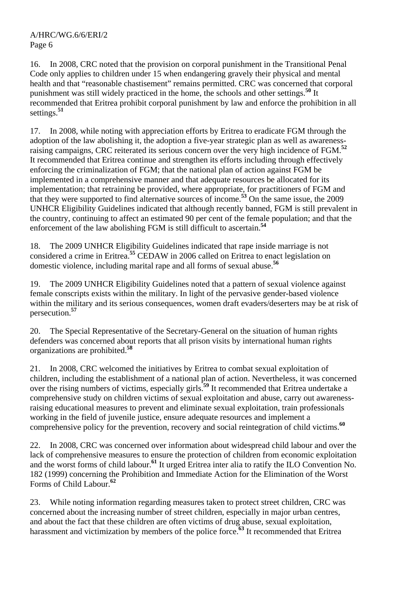16. In 2008, CRC noted that the provision on corporal punishment in the Transitional Penal Code only applies to children under 15 when endangering gravely their physical and mental health and that "reasonable chastisement" remains permitted. CRC was concerned that corporal punishment was still widely practiced in the home, the schools and other settings.**<sup>50</sup>** It recommended that Eritrea prohibit corporal punishment by law and enforce the prohibition in all settings.**<sup>51</sup>**

17. In 2008, while noting with appreciation efforts by Eritrea to eradicate FGM through the adoption of the law abolishing it, the adoption a five-year strategic plan as well as awarenessraising campaigns, CRC reiterated its serious concern over the very high incidence of FGM.**<sup>52</sup>** It recommended that Eritrea continue and strengthen its efforts including through effectively enforcing the criminalization of FGM; that the national plan of action against FGM be implemented in a comprehensive manner and that adequate resources be allocated for its implementation; that retraining be provided, where appropriate, for practitioners of FGM and that they were supported to find alternative sources of income.**<sup>53</sup>** On the same issue, the 2009 UNHCR Eligibility Guidelines indicated that although recently banned, FGM is still prevalent in the country, continuing to affect an estimated 90 per cent of the female population; and that the enforcement of the law abolishing FGM is still difficult to ascertain.**<sup>54</sup>**

18. The 2009 UNHCR Eligibility Guidelines indicated that rape inside marriage is not considered a crime in Eritrea.**<sup>55</sup>** CEDAW in 2006 called on Eritrea to enact legislation on domestic violence, including marital rape and all forms of sexual abuse.**<sup>56</sup>**

19. The 2009 UNHCR Eligibility Guidelines noted that a pattern of sexual violence against female conscripts exists within the military. In light of the pervasive gender-based violence within the military and its serious consequences, women draft evaders/deserters may be at risk of persecution.**<sup>57</sup>**

20. The Special Representative of the Secretary-General on the situation of human rights defenders was concerned about reports that all prison visits by international human rights organizations are prohibited.**<sup>58</sup>**

21. In 2008, CRC welcomed the initiatives by Eritrea to combat sexual exploitation of children, including the establishment of a national plan of action. Nevertheless, it was concerned over the rising numbers of victims, especially girls.**<sup>59</sup>** It recommended that Eritrea undertake a comprehensive study on children victims of sexual exploitation and abuse, carry out awarenessraising educational measures to prevent and eliminate sexual exploitation, train professionals working in the field of juvenile justice, ensure adequate resources and implement a comprehensive policy for the prevention, recovery and social reintegration of child victims.**<sup>60</sup>**

22. In 2008, CRC was concerned over information about widespread child labour and over the lack of comprehensive measures to ensure the protection of children from economic exploitation and the worst forms of child labour.**<sup>61</sup>** It urged Eritrea inter alia to ratify the ILO Convention No. 182 (1999) concerning the Prohibition and Immediate Action for the Elimination of the Worst Forms of Child Labour.**<sup>62</sup>**

23. While noting information regarding measures taken to protect street children, CRC was concerned about the increasing number of street children, especially in major urban centres, and about the fact that these children are often victims of drug abuse, sexual exploitation, harassment and victimization by members of the police force.<sup>63</sup> It recommended that Eritrea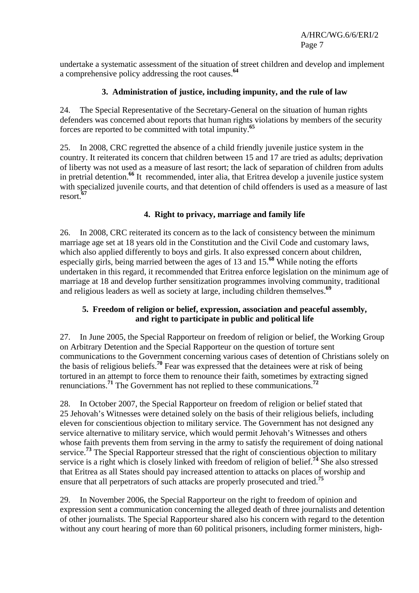undertake a systematic assessment of the situation of street children and develop and implement a comprehensive policy addressing the root causes.**<sup>64</sup>**

## **3. Administration of justice, including impunity, and the rule of law**

24. The Special Representative of the Secretary-General on the situation of human rights defenders was concerned about reports that human rights violations by members of the security forces are reported to be committed with total impunity.**<sup>65</sup>**

25. In 2008, CRC regretted the absence of a child friendly juvenile justice system in the country. It reiterated its concern that children between 15 and 17 are tried as adults; deprivation of liberty was not used as a measure of last resort; the lack of separation of children from adults in pretrial detention.**<sup>66</sup>** It recommended, inter alia, that Eritrea develop a juvenile justice system with specialized juvenile courts, and that detention of child offenders is used as a measure of last resort.**<sup>67</sup>**

# **4. Right to privacy, marriage and family life**

26. In 2008, CRC reiterated its concern as to the lack of consistency between the minimum marriage age set at 18 years old in the Constitution and the Civil Code and customary laws, which also applied differently to boys and girls. It also expressed concern about children, especially girls, being married between the ages of 13 and 15.**<sup>68</sup>** While noting the efforts undertaken in this regard, it recommended that Eritrea enforce legislation on the minimum age of marriage at 18 and develop further sensitization programmes involving community, traditional and religious leaders as well as society at large, including children themselves.**<sup>69</sup>**

### **5. Freedom of religion or belief, expression, association and peaceful assembly, and right to participate in public and political life**

27. In June 2005, the Special Rapporteur on freedom of religion or belief, the Working Group on Arbitrary Detention and the Special Rapporteur on the question of torture sent communications to the Government concerning various cases of detention of Christians solely on the basis of religious beliefs.**<sup>70</sup>** Fear was expressed that the detainees were at risk of being tortured in an attempt to force them to renounce their faith, sometimes by extracting signed renunciations.**<sup>71</sup>** The Government has not replied to these communications.**<sup>72</sup>**

28. In October 2007, the Special Rapporteur on freedom of religion or belief stated that 25 Jehovah's Witnesses were detained solely on the basis of their religious beliefs, including eleven for conscientious objection to military service. The Government has not designed any service alternative to military service, which would permit Jehovah's Witnesses and others whose faith prevents them from serving in the army to satisfy the requirement of doing national service.**<sup>73</sup>** The Special Rapporteur stressed that the right of conscientious objection to military service is a right which is closely linked with freedom of religion of belief.**<sup>74</sup>** She also stressed that Eritrea as all States should pay increased attention to attacks on places of worship and ensure that all perpetrators of such attacks are properly prosecuted and tried.**<sup>75</sup>**

29. In November 2006, the Special Rapporteur on the right to freedom of opinion and expression sent a communication concerning the alleged death of three journalists and detention of other journalists. The Special Rapporteur shared also his concern with regard to the detention without any court hearing of more than 60 political prisoners, including former ministers, high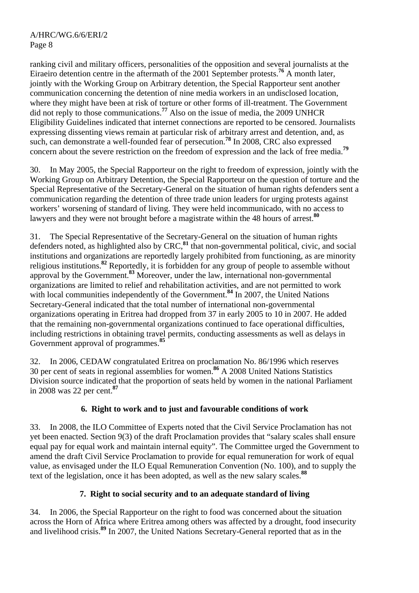ranking civil and military officers, personalities of the opposition and several journalists at the Eiraeiro detention centre in the aftermath of the 2001 September protests.**<sup>76</sup>** A month later, jointly with the Working Group on Arbitrary detention, the Special Rapporteur sent another communication concerning the detention of nine media workers in an undisclosed location, where they might have been at risk of torture or other forms of ill-treatment. The Government did not reply to those communications.**<sup>77</sup>** Also on the issue of media, the 2009 UNHCR Eligibility Guidelines indicated that internet connections are reported to be censored. Journalists expressing dissenting views remain at particular risk of arbitrary arrest and detention, and, as such, can demonstrate a well-founded fear of persecution.**<sup>78</sup>** In 2008, CRC also expressed concern about the severe restriction on the freedom of expression and the lack of free media.**<sup>79</sup>**

30. In May 2005, the Special Rapporteur on the right to freedom of expression, jointly with the Working Group on Arbitrary Detention, the Special Rapporteur on the question of torture and the Special Representative of the Secretary-General on the situation of human rights defenders sent a communication regarding the detention of three trade union leaders for urging protests against workers' worsening of standard of living. They were held incommunicado, with no access to lawyers and they were not brought before a magistrate within the 48 hours of arrest.**<sup>80</sup>**

31. The Special Representative of the Secretary-General on the situation of human rights defenders noted, as highlighted also by CRC,**<sup>81</sup>** that non-governmental political, civic, and social institutions and organizations are reportedly largely prohibited from functioning, as are minority religious institutions.**<sup>82</sup>** Reportedly, it is forbidden for any group of people to assemble without approval by the Government.**<sup>83</sup>** Moreover, under the law, international non-governmental organizations are limited to relief and rehabilitation activities, and are not permitted to work with local communities independently of the Government.<sup>84</sup> In 2007, the United Nations Secretary-General indicated that the total number of international non-governmental organizations operating in Eritrea had dropped from 37 in early 2005 to 10 in 2007. He added that the remaining non-governmental organizations continued to face operational difficulties, including restrictions in obtaining travel permits, conducting assessments as well as delays in Government approval of programmes.**<sup>85</sup>**

32. In 2006, CEDAW congratulated Eritrea on proclamation No. 86/1996 which reserves 30 per cent of seats in regional assemblies for women.**<sup>86</sup>** A 2008 United Nations Statistics Division source indicated that the proportion of seats held by women in the national Parliament in 2008 was 22 per cent.**<sup>87</sup>**

# **6. Right to work and to just and favourable conditions of work**

33. In 2008, the ILO Committee of Experts noted that the Civil Service Proclamation has not yet been enacted. Section 9(3) of the draft Proclamation provides that "salary scales shall ensure equal pay for equal work and maintain internal equity". The Committee urged the Government to amend the draft Civil Service Proclamation to provide for equal remuneration for work of equal value, as envisaged under the ILO Equal Remuneration Convention (No. 100), and to supply the text of the legislation, once it has been adopted, as well as the new salary scales.**<sup>88</sup>**

# **7. Right to social security and to an adequate standard of living**

34. In 2006, the Special Rapporteur on the right to food was concerned about the situation across the Horn of Africa where Eritrea among others was affected by a drought, food insecurity and livelihood crisis.**<sup>89</sup>** In 2007, the United Nations Secretary-General reported that as in the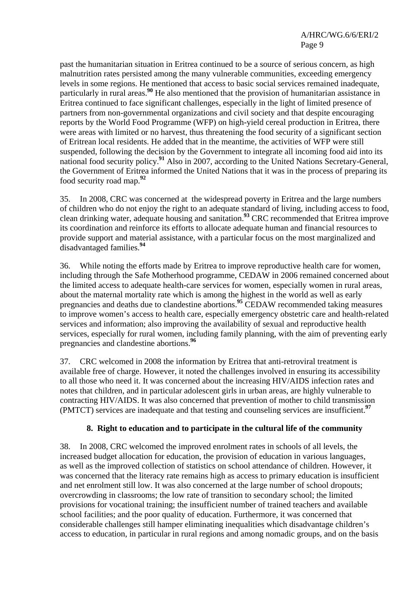past the humanitarian situation in Eritrea continued to be a source of serious concern, as high malnutrition rates persisted among the many vulnerable communities, exceeding emergency levels in some regions. He mentioned that access to basic social services remained inadequate, particularly in rural areas.**<sup>90</sup>** He also mentioned that the provision of humanitarian assistance in Eritrea continued to face significant challenges, especially in the light of limited presence of partners from non-governmental organizations and civil society and that despite encouraging reports by the World Food Programme (WFP) on high-yield cereal production in Eritrea, there were areas with limited or no harvest, thus threatening the food security of a significant section of Eritrean local residents. He added that in the meantime, the activities of WFP were still suspended, following the decision by the Government to integrate all incoming food aid into its national food security policy.**<sup>91</sup>** Also in 2007, according to the United Nations Secretary-General, the Government of Eritrea informed the United Nations that it was in the process of preparing its food security road map.**<sup>92</sup>**

35. In 2008, CRC was concerned at the widespread poverty in Eritrea and the large numbers of children who do not enjoy the right to an adequate standard of living, including access to food, clean drinking water, adequate housing and sanitation.**<sup>93</sup>** CRC recommended that Eritrea improve its coordination and reinforce its efforts to allocate adequate human and financial resources to provide support and material assistance, with a particular focus on the most marginalized and disadvantaged families.**<sup>94</sup>**

36. While noting the efforts made by Eritrea to improve reproductive health care for women, including through the Safe Motherhood programme, CEDAW in 2006 remained concerned about the limited access to adequate health-care services for women, especially women in rural areas, about the maternal mortality rate which is among the highest in the world as well as early pregnancies and deaths due to clandestine abortions.**<sup>95</sup>** CEDAW recommended taking measures to improve women's access to health care, especially emergency obstetric care and health-related services and information; also improving the availability of sexual and reproductive health services, especially for rural women, including family planning, with the aim of preventing early pregnancies and clandestine abortions.**<sup>96</sup>**

37. CRC welcomed in 2008 the information by Eritrea that anti-retroviral treatment is available free of charge. However, it noted the challenges involved in ensuring its accessibility to all those who need it. It was concerned about the increasing HIV/AIDS infection rates and notes that children, and in particular adolescent girls in urban areas, are highly vulnerable to contracting HIV/AIDS. It was also concerned that prevention of mother to child transmission (PMTCT) services are inadequate and that testing and counseling services are insufficient.**<sup>97</sup>**

# **8. Right to education and to participate in the cultural life of the community**

38. In 2008, CRC welcomed the improved enrolment rates in schools of all levels, the increased budget allocation for education, the provision of education in various languages, as well as the improved collection of statistics on school attendance of children. However, it was concerned that the literacy rate remains high as access to primary education is insufficient and net enrolment still low. It was also concerned at the large number of school dropouts; overcrowding in classrooms; the low rate of transition to secondary school; the limited provisions for vocational training; the insufficient number of trained teachers and available school facilities; and the poor quality of education. Furthermore, it was concerned that considerable challenges still hamper eliminating inequalities which disadvantage children's access to education, in particular in rural regions and among nomadic groups, and on the basis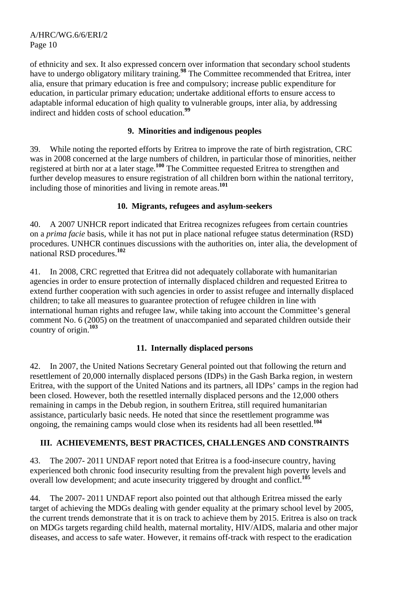of ethnicity and sex. It also expressed concern over information that secondary school students have to undergo obligatory military training.<sup>98</sup> The Committee recommended that Eritrea, inter alia, ensure that primary education is free and compulsory; increase public expenditure for education, in particular primary education; undertake additional efforts to ensure access to adaptable informal education of high quality to vulnerable groups, inter alia, by addressing indirect and hidden costs of school education.**<sup>99</sup>**

### **9. Minorities and indigenous peoples**

39. While noting the reported efforts by Eritrea to improve the rate of birth registration, CRC was in 2008 concerned at the large numbers of children, in particular those of minorities, neither registered at birth nor at a later stage*.* **<sup>100</sup>** The Committee requested Eritrea to strengthen and further develop measures to ensure registration of all children born within the national territory, including those of minorities and living in remote areas.**<sup>101</sup>**

# **10. Migrants, refugees and asylum-seekers**

40. A 2007 UNHCR report indicated that Eritrea recognizes refugees from certain countries on a *prima facie* basis, while it has not put in place national refugee status determination (RSD) procedures. UNHCR continues discussions with the authorities on, inter alia, the development of national RSD procedures.**<sup>102</sup>**

41. In 2008, CRC regretted that Eritrea did not adequately collaborate with humanitarian agencies in order to ensure protection of internally displaced children and requested Eritrea to extend further cooperation with such agencies in order to assist refugee and internally displaced children; to take all measures to guarantee protection of refugee children in line with international human rights and refugee law, while taking into account the Committee's general comment No. 6 (2005) on the treatment of unaccompanied and separated children outside their country of origin.**<sup>103</sup>**

# **11. Internally displaced persons**

42. In 2007, the United Nations Secretary General pointed out that following the return and resettlement of 20,000 internally displaced persons (IDPs) in the Gash Barka region, in western Eritrea, with the support of the United Nations and its partners, all IDPs' camps in the region had been closed. However, both the resettled internally displaced persons and the 12,000 others remaining in camps in the Debub region, in southern Eritrea, still required humanitarian assistance, particularly basic needs. He noted that since the resettlement programme was ongoing, the remaining camps would close when its residents had all been resettled.**<sup>104</sup>**

# **III. ACHIEVEMENTS, BEST PRACTICES, CHALLENGES AND CONSTRAINTS**

43. The 2007- 2011 UNDAF report noted that Eritrea is a food-insecure country, having experienced both chronic food insecurity resulting from the prevalent high poverty levels and overall low development; and acute insecurity triggered by drought and conflict.**<sup>105</sup>**

44. The 2007- 2011 UNDAF report also pointed out that although Eritrea missed the early target of achieving the MDGs dealing with gender equality at the primary school level by 2005, the current trends demonstrate that it is on track to achieve them by 2015. Eritrea is also on track on MDGs targets regarding child health, maternal mortality, HIV/AIDS, malaria and other major diseases, and access to safe water. However, it remains off-track with respect to the eradication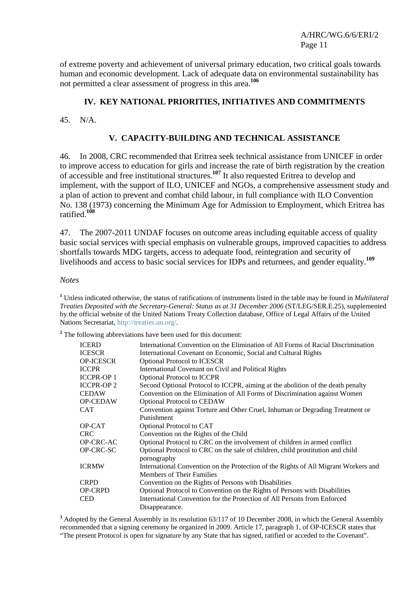of extreme poverty and achievement of universal primary education, two critical goals towards human and economic development. Lack of adequate data on environmental sustainability has not permitted a clear assessment of progress in this area.**<sup>106</sup>**

### **IV. KEY NATIONAL PRIORITIES, INITIATIVES AND COMMITMENTS**

45. N/A.

#### **V. CAPACITY-BUILDING AND TECHNICAL ASSISTANCE**

46. In 2008, CRC recommended that Eritrea seek technical assistance from UNICEF in order to improve access to education for girls and increase the rate of birth registration by the creation of accessible and free institutional structures.**<sup>107</sup>** It also requested Eritrea to develop and implement, with the support of ILO, UNICEF and NGOs, a comprehensive assessment study and a plan of action to prevent and combat child labour, in full compliance with ILO Convention No. 138 (1973) concerning the Minimum Age for Admission to Employment, which Eritrea has ratified.**<sup>108</sup>**

47. The 2007-2011 UNDAF focuses on outcome areas including equitable access of quality basic social services with special emphasis on vulnerable groups, improved capacities to address shortfalls towards MDG targets, access to adequate food, reintegration and security of livelihoods and access to basic social services for IDPs and returnees, and gender equality.**<sup>109</sup>**

#### *Notes*

**1** Unless indicated otherwise, the status of ratifications of instruments listed in the table may be found in *Multilateral Treaties Deposited with the Secretary-General: Status as at 31 December 2006* (ST/LEG/SER.E.25), supplemented by the official website of the United Nations Treaty Collection database, Office of Legal Affairs of the United Nations Secretariat, http://treaties.un.org/.

<sup>2</sup> The following abbreviations have been used for this document:

| <b>ICERD</b>     | International Convention on the Elimination of All Forms of Racial Discrimination   |
|------------------|-------------------------------------------------------------------------------------|
| <b>ICESCR</b>    | International Covenant on Economic, Social and Cultural Rights                      |
| <b>OP-ICESCR</b> | <b>Optional Protocol to ICESCR</b>                                                  |
| <b>ICCPR</b>     | International Covenant on Civil and Political Rights                                |
| <b>ICCPR-OP1</b> | <b>Optional Protocol to ICCPR</b>                                                   |
| <b>ICCPR-OP2</b> | Second Optional Protocol to ICCPR, aiming at the abolition of the death penalty     |
| <b>CEDAW</b>     | Convention on the Elimination of All Forms of Discrimination against Women          |
| <b>OP-CEDAW</b>  | <b>Optional Protocol to CEDAW</b>                                                   |
| <b>CAT</b>       | Convention against Torture and Other Cruel, Inhuman or Degrading Treatment or       |
|                  | Punishment                                                                          |
| OP-CAT           | Optional Protocol to CAT                                                            |
| <b>CRC</b>       | Convention on the Rights of the Child                                               |
| <b>OP-CRC-AC</b> | Optional Protocol to CRC on the involvement of children in armed conflict           |
| OP-CRC-SC        | Optional Protocol to CRC on the sale of children, child prostitution and child      |
|                  | pornography                                                                         |
| <b>ICRMW</b>     | International Convention on the Protection of the Rights of All Migrant Workers and |
|                  | <b>Members of Their Families</b>                                                    |
| <b>CRPD</b>      | Convention on the Rights of Persons with Disabilities                               |
| <b>OP-CRPD</b>   | Optional Protocol to Convention on the Rights of Persons with Disabilities          |
| <b>CED</b>       | International Convention for the Protection of All Persons from Enforced            |
|                  | Disappearance.                                                                      |

<sup>3</sup> Adopted by the General Assembly in its resolution 63/117 of 10 December 2008, in which the General Assembly recommended that a signing ceremony be organized in 2009. Article 17, paragraph 1, of OP-ICESCR states that "The present Protocol is open for signature by any State that has signed, ratified or acceded to the Covenant".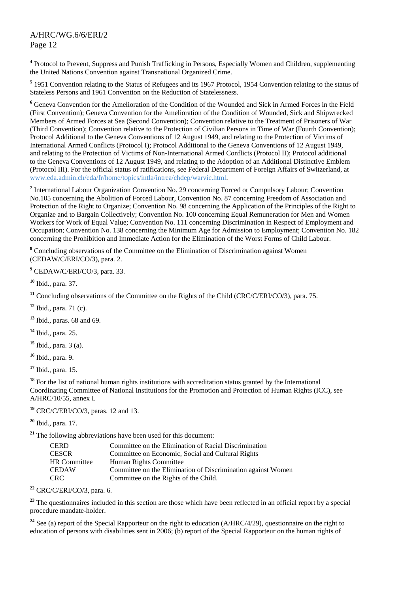<sup>4</sup> Protocol to Prevent, Suppress and Punish Trafficking in Persons, Especially Women and Children, supplementing the United Nations Convention against Transnational Organized Crime.

<sup>5</sup> 1951 Convention relating to the Status of Refugees and its 1967 Protocol, 1954 Convention relating to the status of Stateless Persons and 1961 Convention on the Reduction of Statelessness.

<sup>6</sup> Geneva Convention for the Amelioration of the Condition of the Wounded and Sick in Armed Forces in the Field (First Convention); Geneva Convention for the Amelioration of the Condition of Wounded, Sick and Shipwrecked Members of Armed Forces at Sea (Second Convention); Convention relative to the Treatment of Prisoners of War (Third Convention); Convention relative to the Protection of Civilian Persons in Time of War (Fourth Convention); Protocol Additional to the Geneva Conventions of 12 August 1949, and relating to the Protection of Victims of International Armed Conflicts (Protocol I); Protocol Additional to the Geneva Conventions of 12 August 1949, and relating to the Protection of Victims of Non-International Armed Conflicts (Protocol II); Protocol additional to the Geneva Conventions of 12 August 1949, and relating to the Adoption of an Additional Distinctive Emblem (Protocol III). For the official status of ratifications, see Federal Department of Foreign Affairs of Switzerland, at www.eda.admin.ch/eda/fr/home/topics/intla/intrea/chdep/warvic.html.

<sup>7</sup> International Labour Organization Convention No. 29 concerning Forced or Compulsory Labour; Convention No.105 concerning the Abolition of Forced Labour, Convention No. 87 concerning Freedom of Association and Protection of the Right to Organize; Convention No. 98 concerning the Application of the Principles of the Right to Organize and to Bargain Collectively; Convention No. 100 concerning Equal Remuneration for Men and Women Workers for Work of Equal Value; Convention No. 111 concerning Discrimination in Respect of Employment and Occupation; Convention No. 138 concerning the Minimum Age for Admission to Employment; Convention No. 182 concerning the Prohibition and Immediate Action for the Elimination of the Worst Forms of Child Labour.

<sup>8</sup> Concluding observations of the Committee on the Elimination of Discrimination against Women (CEDAW/C/ERI/CO/3), para. 2.

**9** CEDAW/C/ERI/CO/3, para. 33.

**<sup>10</sup>** Ibid., para. 37.

<sup>11</sup> Concluding observations of the Committee on the Rights of the Child (CRC/C/ERI/CO/3), para. 75.

**<sup>12</sup>** Ibid., para. 71 (c).

**<sup>13</sup>** Ibid., paras. 68 and 69.

**<sup>14</sup>** Ibid., para. 25.

**<sup>15</sup>** Ibid., para. 3 (a).

**<sup>16</sup>** Ibid., para. 9.

**<sup>17</sup>** Ibid., para. 15.

<sup>18</sup> For the list of national human rights institutions with accreditation status granted by the International Coordinating Committee of National Institutions for the Promotion and Protection of Human Rights (ICC), see A/HRC/10/55, annex I.

**<sup>19</sup>** CRC/C/ERI/CO/3, paras. 12 and 13.

**<sup>20</sup>** Ibid., para. 17.

**<sup>21</sup>** The following abbreviations have been used for this document:

| <b>CERD</b>         | Committee on the Elimination of Racial Discrimination        |
|---------------------|--------------------------------------------------------------|
| <b>CESCR</b>        | Committee on Economic, Social and Cultural Rights            |
| <b>HR Committee</b> | Human Rights Committee                                       |
| CEDAW               | Committee on the Elimination of Discrimination against Women |
| CRC-                | Committee on the Rights of the Child.                        |

**<sup>22</sup>** CRC/C/ERI/CO/3, para. 6.

<sup>23</sup> The questionnaires included in this section are those which have been reflected in an official report by a special procedure mandate-holder.

<sup>24</sup> See (a) report of the Special Rapporteur on the right to education (A/HRC/4/29), questionnaire on the right to education of persons with disabilities sent in 2006; (b) report of the Special Rapporteur on the human rights of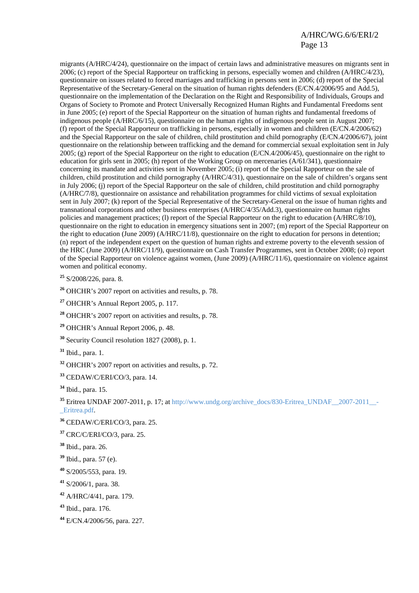migrants (A/HRC/4/24), questionnaire on the impact of certain laws and administrative measures on migrants sent in 2006; (c) report of the Special Rapporteur on trafficking in persons, especially women and children (A/HRC/4/23), questionnaire on issues related to forced marriages and trafficking in persons sent in 2006; (d) report of the Special Representative of the Secretary-General on the situation of human rights defenders (E/CN.4/2006/95 and Add.5), questionnaire on the implementation of the Declaration on the Right and Responsibility of Individuals, Groups and Organs of Society to Promote and Protect Universally Recognized Human Rights and Fundamental Freedoms sent in June 2005; (e) report of the Special Rapporteur on the situation of human rights and fundamental freedoms of indigenous people (A/HRC/6/15), questionnaire on the human rights of indigenous people sent in August 2007; (f) report of the Special Rapporteur on trafficking in persons, especially in women and children (E/CN.4/2006/62) and the Special Rapporteur on the sale of children, child prostitution and child pornography (E/CN.4/2006/67), joint questionnaire on the relationship between trafficking and the demand for commercial sexual exploitation sent in July 2005; (g) report of the Special Rapporteur on the right to education (E/CN.4/2006/45), questionnaire on the right to education for girls sent in 2005; (h) report of the Working Group on mercenaries (A/61/341), questionnaire concerning its mandate and activities sent in November 2005; (i) report of the Special Rapporteur on the sale of children, child prostitution and child pornography (A/HRC/4/31), questionnaire on the sale of children's organs sent in July 2006; (j) report of the Special Rapporteur on the sale of children, child prostitution and child pornography (A/HRC/7/8), questionnaire on assistance and rehabilitation programmes for child victims of sexual exploitation sent in July 2007; (k) report of the Special Representative of the Secretary-General on the issue of human rights and transnational corporations and other business enterprises (A/HRC/4/35/Add.3), questionnaire on human rights policies and management practices; (l) report of the Special Rapporteur on the right to education (A/HRC/8/10), questionnaire on the right to education in emergency situations sent in 2007; (m) report of the Special Rapporteur on the right to education (June 2009) (A/HRC/11/8), questionnaire on the right to education for persons in detention; (n) report of the independent expert on the question of human rights and extreme poverty to the eleventh session of the HRC (June 2009) (A/HRC/11/9), questionnaire on Cash Transfer Programmes, sent in October 2008; (o) report of the Special Rapporteur on violence against women, (June 2009) (A/HRC/11/6), questionnaire on violence against women and political economy.

**<sup>25</sup>** S/2008/226, para. 8.

**<sup>26</sup>** OHCHR's 2007 report on activities and results, p. 78.

**<sup>27</sup>** OHCHR's Annual Report 2005, p. 117.

**<sup>28</sup>** OHCHR's 2007 report on activities and results, p. 78.

**<sup>29</sup>** OHCHR's Annual Report 2006, p. 48.

**<sup>30</sup>** Security Council resolution 1827 (2008), p. 1.

**<sup>31</sup>** Ibid., para. 1.

**<sup>32</sup>** OHCHR's 2007 report on activities and results, p. 72.

**<sup>33</sup>** CEDAW/C/ERI/CO/3, para. 14.

**<sup>34</sup>** Ibid., para. 15.

<sup>35</sup> Eritrea UNDAF 2007-2011, p. 17; at http://www.undg.org/archive\_docs/830-Eritrea\_UNDAF\_2007-2011\_\_-\_Eritrea.pdf.

**<sup>36</sup>** CEDAW/C/ERI/CO/3, para. 25.

**<sup>37</sup>** CRC/C/ERI/CO/3, para. 25.

**<sup>38</sup>** Ibid., para. 26.

**<sup>39</sup>** Ibid., para. 57 (e).

**<sup>40</sup>** S/2005/553, para. 19.

**<sup>41</sup>** S/2006/1, para. 38.

**<sup>42</sup>** A/HRC/4/41, para. 179.

**<sup>43</sup>** Ibid., para. 176.

**<sup>44</sup>** E/CN.4/2006/56, para. 227.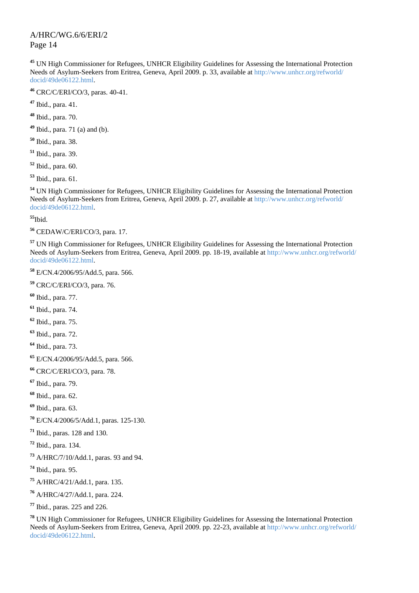UN High Commissioner for Refugees, UNHCR Eligibility Guidelines for Assessing the International Protection Needs of Asylum-Seekers from Eritrea, Geneva, April 2009. p. 33, available at http://www.unhcr.org/refworld/ docid/49de06122.html.

CRC/C/ERI/CO/3, paras. 40-41.

Ibid., para. 41.

Ibid., para. 70.

Ibid., para. 71 (a) and (b).

Ibid., para. 38.

Ibid., para. 39.

Ibid., para. 60.

Ibid., para. 61.

 UN High Commissioner for Refugees, UNHCR Eligibility Guidelines for Assessing the International Protection Needs of Asylum-Seekers from Eritrea, Geneva, April 2009. p. 27, available at http://www.unhcr.org/refworld/ docid/49de06122.html.

Ibid.

CEDAW/C/ERI/CO/3, para. 17.

 UN High Commissioner for Refugees, UNHCR Eligibility Guidelines for Assessing the International Protection Needs of Asylum-Seekers from Eritrea, Geneva, April 2009. pp. 18-19, available at http://www.unhcr.org/refworld/ docid/49de06122.html.

E/CN.4/2006/95/Add.5, para. 566.

CRC/C/ERI/CO/3, para. 76.

Ibid., para. 77.

Ibid., para. 74.

Ibid., para. 75.

Ibid., para. 72.

Ibid., para. 73.

E/CN.4/2006/95/Add.5, para. 566.

CRC/C/ERI/CO/3, para. 78.

Ibid., para. 79.

Ibid., para. 62.

Ibid., para. 63.

E/CN.4/2006/5/Add.1, paras. 125-130.

Ibid., paras. 128 and 130.

Ibid., para. 134.

A/HRC/7/10/Add.1, paras. 93 and 94.

Ibid., para. 95.

A/HRC/4/21/Add.1, para. 135.

A/HRC/4/27/Add.1, para. 224.

Ibid., paras. 225 and 226.

 UN High Commissioner for Refugees, UNHCR Eligibility Guidelines for Assessing the International Protection Needs of Asylum-Seekers from Eritrea, Geneva, April 2009. pp. 22-23, available at http://www.unhcr.org/refworld/ docid/49de06122.html.